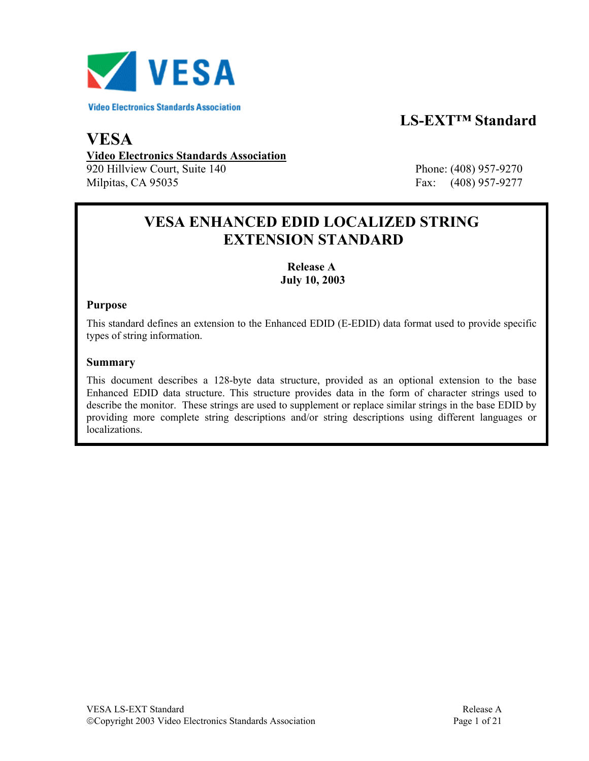

# **LS-EXT™ Standard**

## **VESA Video Electronics Standards Association** 920 Hillview Court, Suite 140 Phone: (408) 957-9270

Milpitas, CA 95035 Fax: (408) 957-9277

# **VESA ENHANCED EDID LOCALIZED STRING EXTENSION STANDARD**

### **Release A July 10, 2003**

#### **Purpose**

This standard defines an extension to the Enhanced EDID (E-EDID) data format used to provide specific types of string information.

#### **Summary**

This document describes a 128-byte data structure, provided as an optional extension to the base Enhanced EDID data structure. This structure provides data in the form of character strings used to describe the monitor. These strings are used to supplement or replace similar strings in the base EDID by providing more complete string descriptions and/or string descriptions using different languages or localizations.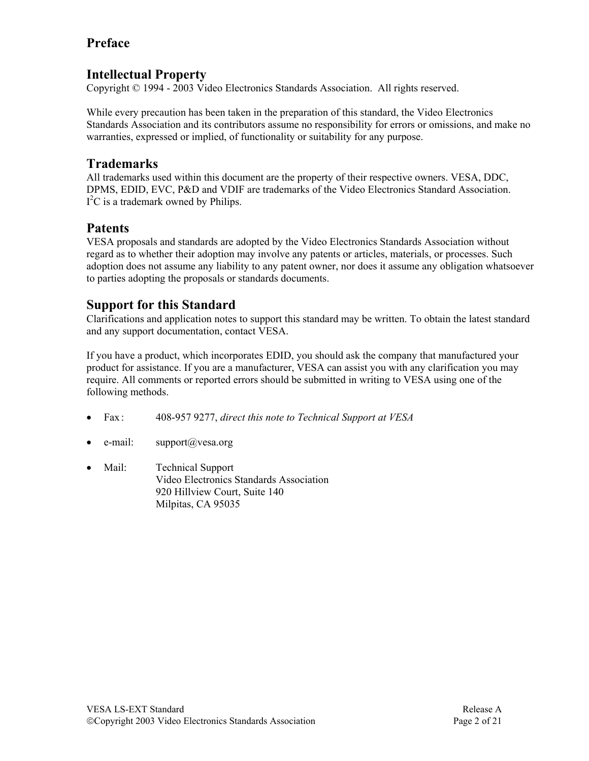## **Preface**

## **Intellectual Property**

Copyright © 1994 - 2003 Video Electronics Standards Association. All rights reserved.

While every precaution has been taken in the preparation of this standard, the Video Electronics Standards Association and its contributors assume no responsibility for errors or omissions, and make no warranties, expressed or implied, of functionality or suitability for any purpose.

### **Trademarks**

All trademarks used within this document are the property of their respective owners. VESA, DDC, DPMS, EDID, EVC, P&D and VDIF are trademarks of the Video Electronics Standard Association.  $I<sup>2</sup>C$  is a trademark owned by Philips.

### **Patents**

VESA proposals and standards are adopted by the Video Electronics Standards Association without regard as to whether their adoption may involve any patents or articles, materials, or processes. Such adoption does not assume any liability to any patent owner, nor does it assume any obligation whatsoever to parties adopting the proposals or standards documents.

## **Support for this Standard**

Clarifications and application notes to support this standard may be written. To obtain the latest standard and any support documentation, contact VESA.

If you have a product, which incorporates EDID, you should ask the company that manufactured your product for assistance. If you are a manufacturer, VESA can assist you with any clarification you may require. All comments or reported errors should be submitted in writing to VESA using one of the following methods.

- Fax : 408-957 9277, *direct this note to Technical Support at VESA*
- e-mail: support $(a)$ vesa.org
- Mail: Technical Support Video Electronics Standards Association 920 Hillview Court, Suite 140 Milpitas, CA 95035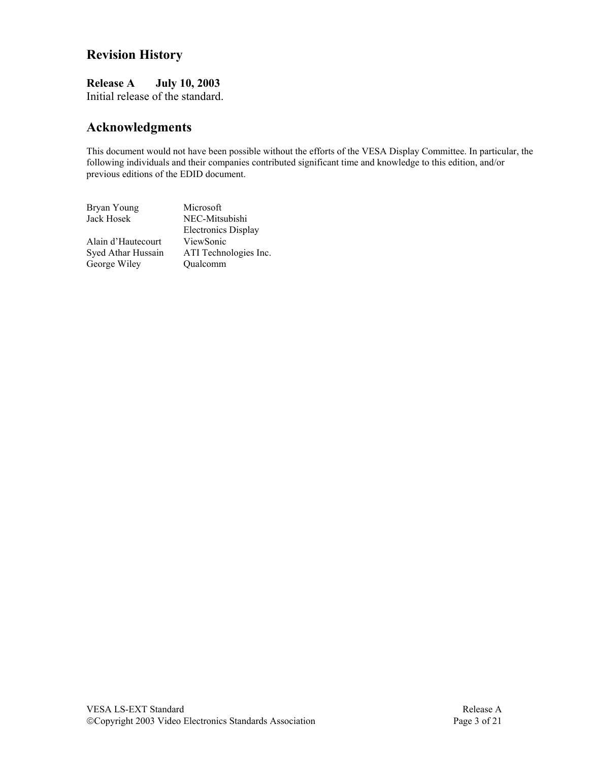## **Revision History**

**Release A July 10, 2003**  Initial release of the standard.

### **Acknowledgments**

This document would not have been possible without the efforts of the VESA Display Committee. In particular, the following individuals and their companies contributed significant time and knowledge to this edition, and/or previous editions of the EDID document.

| Bryan Young        | Microsoft                  |
|--------------------|----------------------------|
| Jack Hosek         | NEC-Mitsubishi             |
|                    | <b>Electronics Display</b> |
| Alain d'Hautecourt | ViewSonic                  |
| Syed Athar Hussain | ATI Technologies Inc.      |
| George Wiley       | Qualcomm                   |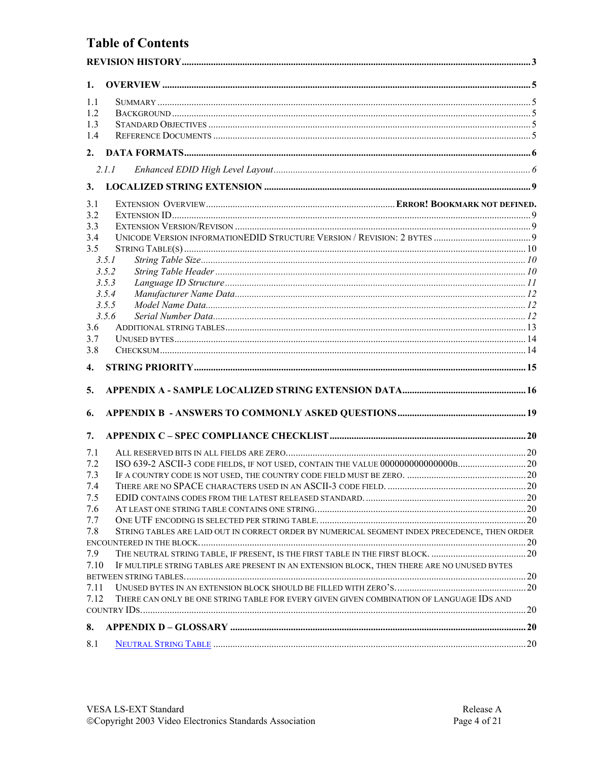## **Table of Contents**

| 1.           |                                                                                               |     |
|--------------|-----------------------------------------------------------------------------------------------|-----|
| 1.1          |                                                                                               |     |
| 1.2          |                                                                                               |     |
| 1.3          |                                                                                               |     |
| 1.4          |                                                                                               |     |
| 2.           |                                                                                               |     |
|              | 2.1.1                                                                                         |     |
| 3.           |                                                                                               |     |
| 3.1          |                                                                                               |     |
| 3.2          |                                                                                               |     |
| 3.3          |                                                                                               |     |
| 3.4          |                                                                                               |     |
| 3.5          |                                                                                               |     |
|              | 3.5.1                                                                                         |     |
|              | 3.5.2                                                                                         |     |
|              | 3.5.3                                                                                         |     |
|              | 3.5.4<br>3.5.5                                                                                |     |
|              | 3.5.6                                                                                         |     |
| 3.6          |                                                                                               |     |
| 3.7          |                                                                                               |     |
| 3.8          |                                                                                               |     |
| 4.           |                                                                                               |     |
| 5.           |                                                                                               |     |
|              |                                                                                               |     |
| 6.           |                                                                                               |     |
| 7.           |                                                                                               |     |
| 7.1          |                                                                                               |     |
| 7.2          |                                                                                               |     |
| 7.3          |                                                                                               |     |
| 7.4          |                                                                                               |     |
| 7.5          |                                                                                               |     |
| 7.6          |                                                                                               |     |
| 7.7          |                                                                                               |     |
| 7.8          | STRING TABLES ARE LAID OUT IN CORRECT ORDER BY NUMERICAL SEGMENT INDEX PRECEDENCE, THEN ORDER |     |
|              |                                                                                               |     |
| 7.9          | THE NEUTRAL STRING TABLE, IF PRESENT, IS THE FIRST TABLE IN THE FIRST BLOCK. 20               |     |
| 7.10         | IF MULTIPLE STRING TABLES ARE PRESENT IN AN EXTENSION BLOCK, THEN THERE ARE NO UNUSED BYTES   |     |
|              |                                                                                               |     |
| 7.11<br>7.12 |                                                                                               |     |
|              | THERE CAN ONLY BE ONE STRING TABLE FOR EVERY GIVEN GIVEN COMBINATION OF LANGUAGE IDS AND      | .20 |
| 8.           |                                                                                               |     |
|              |                                                                                               |     |
| 8.1          |                                                                                               |     |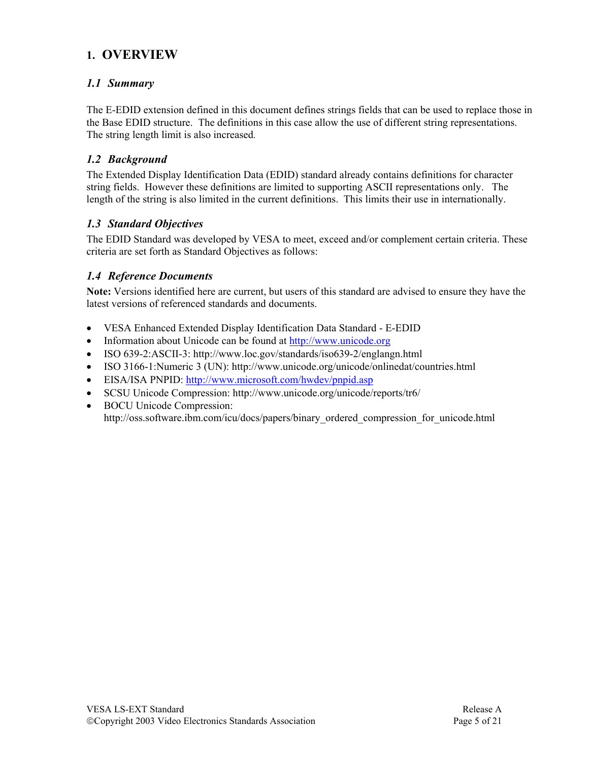## **1. OVERVIEW**

#### *1.1 Summary*

The E-EDID extension defined in this document defines strings fields that can be used to replace those in the Base EDID structure. The definitions in this case allow the use of different string representations. The string length limit is also increased.

#### *1.2 Background*

The Extended Display Identification Data (EDID) standard already contains definitions for character string fields. However these definitions are limited to supporting ASCII representations only. The length of the string is also limited in the current definitions. This limits their use in internationally.

#### *1.3 Standard Objectives*

The EDID Standard was developed by VESA to meet, exceed and/or complement certain criteria. These criteria are set forth as Standard Objectives as follows:

### *1.4 Reference Documents*

**Note:** Versions identified here are current, but users of this standard are advised to ensure they have the latest versions of referenced standards and documents.

- VESA Enhanced Extended Display Identification Data Standard E-EDID
- Information about Unicode can be found at http://www.unicode.org
- ISO 639-2:ASCII-3: http://www.loc.gov/standards/iso639-2/englangn.html
- ISO 3166-1:Numeric 3 (UN): http://www.unicode.org/unicode/onlinedat/countries.html
- EISA/ISA PNPID: http://www.microsoft.com/hwdev/pnpid.asp
- SCSU Unicode Compression: http://www.unicode.org/unicode/reports/tr6/
- BOCU Unicode Compression: http://oss.software.ibm.com/icu/docs/papers/binary\_ordered\_compression\_for\_unicode.html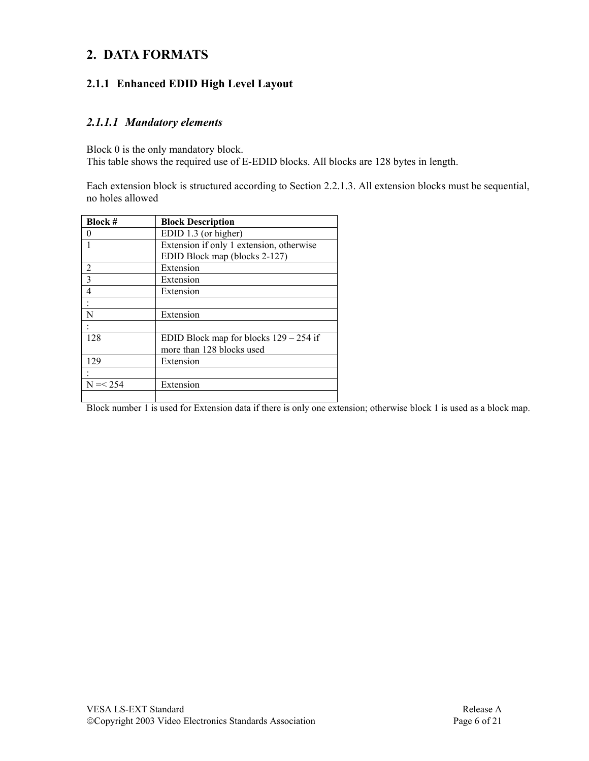## **2. DATA FORMATS**

### **2.1.1 Enhanced EDID High Level Layout**

#### *2.1.1.1 Mandatory elements*

Block 0 is the only mandatory block.

This table shows the required use of E-EDID blocks. All blocks are 128 bytes in length.

Each extension block is structured according to Section 2.2.1.3. All extension blocks must be sequential, no holes allowed

| <b>Block #</b> | <b>Block Description</b>                 |  |
|----------------|------------------------------------------|--|
| $\mathbf{0}$   | EDID 1.3 (or higher)                     |  |
|                | Extension if only 1 extension, otherwise |  |
|                | EDID Block map (blocks 2-127)            |  |
| $\overline{c}$ | Extension                                |  |
| $\mathcal{E}$  | Extension                                |  |
| 4              | Extension                                |  |
|                |                                          |  |
| N              | Extension                                |  |
|                |                                          |  |
| 128            | EDID Block map for blocks $129 - 254$ if |  |
|                | more than 128 blocks used                |  |
| 129            | Extension                                |  |
|                |                                          |  |
| $N = < 254$    | Extension                                |  |
|                |                                          |  |

Block number 1 is used for Extension data if there is only one extension; otherwise block 1 is used as a block map.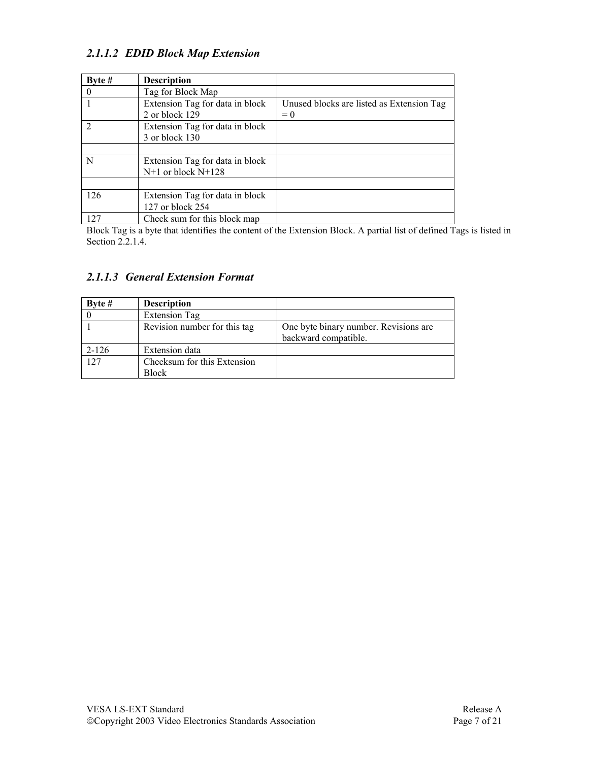### *2.1.1.2 EDID Block Map Extension*

| Byte $#$       | <b>Description</b>                                        |                                                    |
|----------------|-----------------------------------------------------------|----------------------------------------------------|
|                | Tag for Block Map                                         |                                                    |
|                | Extension Tag for data in block<br>2 or block 129         | Unused blocks are listed as Extension Tag<br>$= 0$ |
| $\mathfrak{D}$ | Extension Tag for data in block<br>3 or block 130         |                                                    |
|                |                                                           |                                                    |
| N              | Extension Tag for data in block<br>$N+1$ or block $N+128$ |                                                    |
|                |                                                           |                                                    |
| 126            | Extension Tag for data in block<br>127 or block 254       |                                                    |
| 127            | Check sum for this block map                              |                                                    |

Block Tag is a byte that identifies the content of the Extension Block. A partial list of defined Tags is listed in Section 2.2.1.4.

### *2.1.1.3 General Extension Format*

| Byte $#$  | <b>Description</b>           |                                       |
|-----------|------------------------------|---------------------------------------|
|           | <b>Extension Tag</b>         |                                       |
|           | Revision number for this tag | One byte binary number. Revisions are |
|           |                              | backward compatible.                  |
| $2 - 126$ | Extension data               |                                       |
| 127       | Checksum for this Extension  |                                       |
|           | Block                        |                                       |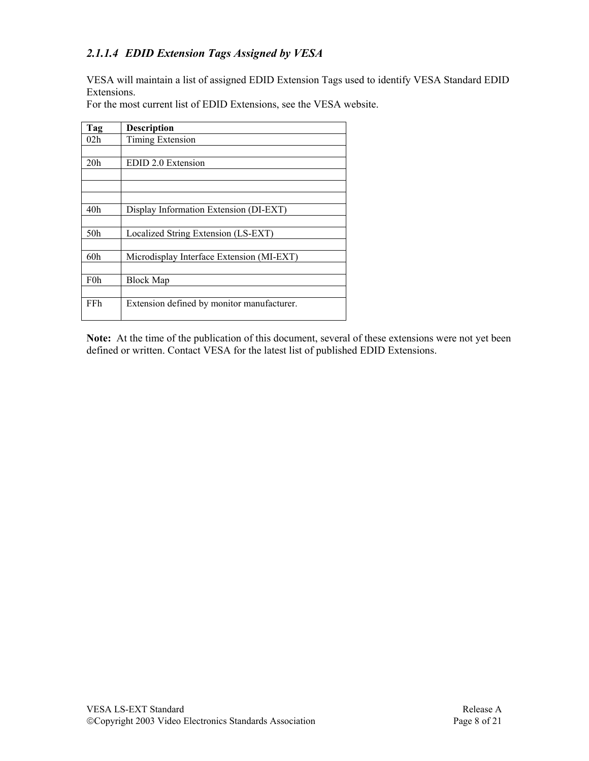### *2.1.1.4 EDID Extension Tags Assigned by VESA*

VESA will maintain a list of assigned EDID Extension Tags used to identify VESA Standard EDID Extensions.

| Tag             | <b>Description</b>                         |
|-----------------|--------------------------------------------|
| 02h             | Timing Extension                           |
|                 |                                            |
| 20 <sub>h</sub> | EDID 2.0 Extension                         |
|                 |                                            |
|                 |                                            |
|                 |                                            |
| 40 <sub>h</sub> | Display Information Extension (DI-EXT)     |
|                 |                                            |
| 50h             | Localized String Extension (LS-EXT)        |
|                 |                                            |
| 60h             | Microdisplay Interface Extension (MI-EXT)  |
|                 |                                            |
| F0h             | <b>Block Map</b>                           |
|                 |                                            |
| FFh             | Extension defined by monitor manufacturer. |
|                 |                                            |

For the most current list of EDID Extensions, see the VESA website.

**Note:** At the time of the publication of this document, several of these extensions were not yet been defined or written. Contact VESA for the latest list of published EDID Extensions.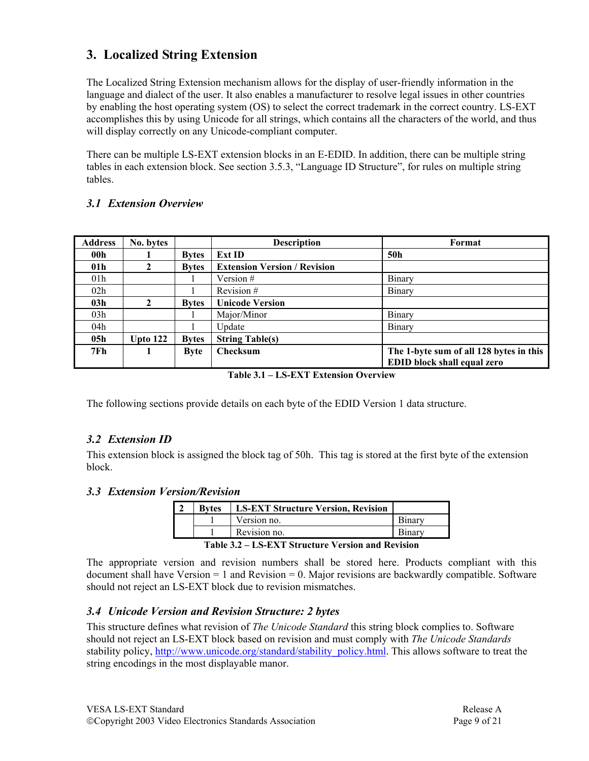## **3. Localized String Extension**

The Localized String Extension mechanism allows for the display of user-friendly information in the language and dialect of the user. It also enables a manufacturer to resolve legal issues in other countries by enabling the host operating system (OS) to select the correct trademark in the correct country. LS-EXT accomplishes this by using Unicode for all strings, which contains all the characters of the world, and thus will display correctly on any Unicode-compliant computer.

There can be multiple LS-EXT extension blocks in an E-EDID. In addition, there can be multiple string tables in each extension block. See section 3.5.3, "Language ID Structure", for rules on multiple string tables.

#### *3.1 Extension Overview*

| <b>Address</b>  | No. bytes    |              | <b>Description</b>                  | Format                                  |
|-----------------|--------------|--------------|-------------------------------------|-----------------------------------------|
| 00 <sub>h</sub> |              | <b>Bytes</b> | <b>Ext ID</b>                       | 50h                                     |
| 01 <sub>h</sub> |              | <b>Bytes</b> | <b>Extension Version / Revision</b> |                                         |
| 01 <sub>h</sub> |              |              | Version #                           | Binary                                  |
| 02h             |              |              | Revision #                          | Binary                                  |
| 03 <sub>h</sub> | $\mathbf{2}$ | <b>Bytes</b> | <b>Unicode Version</b>              |                                         |
| 03h             |              |              | Major/Minor                         | Binary                                  |
| 04h             |              |              | Update                              | Binary                                  |
| 05h             | Upto $122$   | <b>Bytes</b> | <b>String Table(s)</b>              |                                         |
| 7Fh             |              | <b>Byte</b>  | <b>Checksum</b>                     | The 1-byte sum of all 128 bytes in this |
|                 |              |              |                                     | EDID block shall equal zero             |

**Table 3.1 – LS-EXT Extension Overview** 

The following sections provide details on each byte of the EDID Version 1 data structure.

#### *3.2 Extension ID*

This extension block is assigned the block tag of 50h. This tag is stored at the first byte of the extension block.

#### *3.3 Extension Version/Revision*

| <b>Bytes</b> | <b>LS-EXT Structure Version, Revision</b> |  |
|--------------|-------------------------------------------|--|
|              | Version no.                               |  |
|              | Revision no.                              |  |

#### **Table 3.2 – LS-EXT Structure Version and Revision**

The appropriate version and revision numbers shall be stored here. Products compliant with this document shall have Version  $= 1$  and Revision  $= 0$ . Major revisions are backwardly compatible. Software should not reject an LS-EXT block due to revision mismatches.

#### *3.4 Unicode Version and Revision Structure: 2 bytes*

This structure defines what revision of *The Unicode Standard* this string block complies to. Software should not reject an LS-EXT block based on revision and must comply with *The Unicode Standards*  stability policy, http://www.unicode.org/standard/stability policy.html. This allows software to treat the string encodings in the most displayable manor.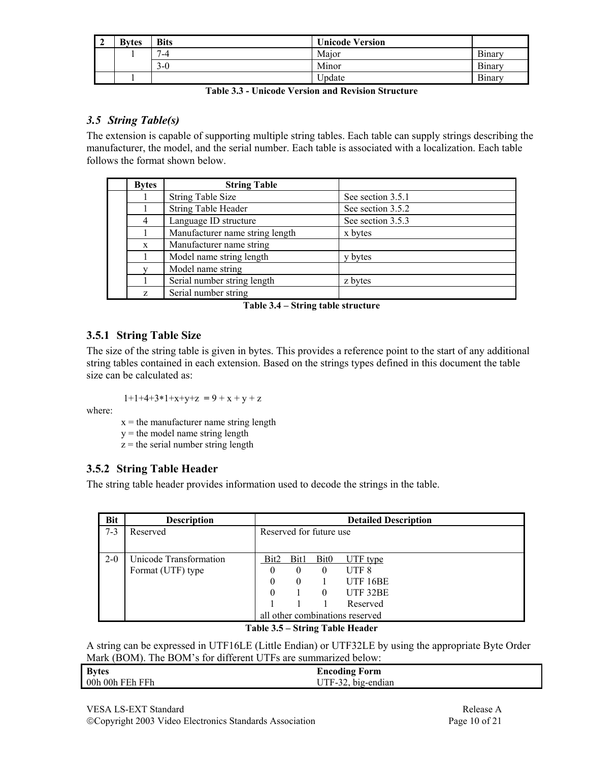| - 2 | <b>Bytes</b> | <b>Bits</b>           | <b>Unicode Version</b> |        |
|-----|--------------|-----------------------|------------------------|--------|
|     |              | $\overline{ }$<br>'-4 | Major                  | Binary |
|     |              | $3-0$                 | Minor                  | Binary |
|     |              |                       | Update                 | Binary |

| <b>Table 3.3 - Unicode Version and Revision Structure</b> |
|-----------------------------------------------------------|
|-----------------------------------------------------------|

#### *3.5 String Table(s)*

The extension is capable of supporting multiple string tables. Each table can supply strings describing the manufacturer, the model, and the serial number. Each table is associated with a localization. Each table follows the format shown below.

| <b>Bytes</b> | <b>String Table</b>             |                   |
|--------------|---------------------------------|-------------------|
|              | <b>String Table Size</b>        | See section 3.5.1 |
|              | <b>String Table Header</b>      | See section 3.5.2 |
| 4            | Language ID structure           | See section 3.5.3 |
|              | Manufacturer name string length | x bytes           |
| X            | Manufacturer name string        |                   |
|              | Model name string length        | y bytes           |
|              | Model name string               |                   |
|              | Serial number string length     | z bytes           |
| Z            | Serial number string            |                   |

**Table 3.4 – String table structure** 

#### **3.5.1 String Table Size**

The size of the string table is given in bytes. This provides a reference point to the start of any additional string tables contained in each extension. Based on the strings types defined in this document the table size can be calculated as:

$$
1+1+4+3*1+x+y+z\ = 9+x+y+z
$$

where:

 $x =$  the manufacturer name string length

y = the model name string length

 $z =$  the serial number string length

#### **3.5.2 String Table Header**

The string table header provides information used to decode the strings in the table.

| <b>Bit</b> | <b>Description</b>     | <b>Detailed Description</b>     |          |                  |                  |  |
|------------|------------------------|---------------------------------|----------|------------------|------------------|--|
| $7 - 3$    | Reserved               | Reserved for future use         |          |                  |                  |  |
|            |                        |                                 |          |                  |                  |  |
| $2 - 0$    | Unicode Transformation | Bit2                            | Bit1     | Bit <sub>0</sub> | UTF type         |  |
|            | Format (UTF) type      |                                 |          | $\theta$         | UTF <sub>8</sub> |  |
|            |                        |                                 | $\Omega$ |                  | UTF 16BE         |  |
|            |                        | UTF 32BE                        |          |                  |                  |  |
|            |                        |                                 |          |                  | Reserved         |  |
|            |                        | all other combinations reserved |          |                  |                  |  |

#### **Table 3.5 – String Table Header**

A string can be expressed in UTF16LE (Little Endian) or UTF32LE by using the appropriate Byte Order Mark (BOM). The BOM's for different UTFs are summarized below:

| <b>Bytes</b>    | <b>Encoding Form</b>     |
|-----------------|--------------------------|
| 00h 00h FEh FFh | JTF-32, bi<br>big-endian |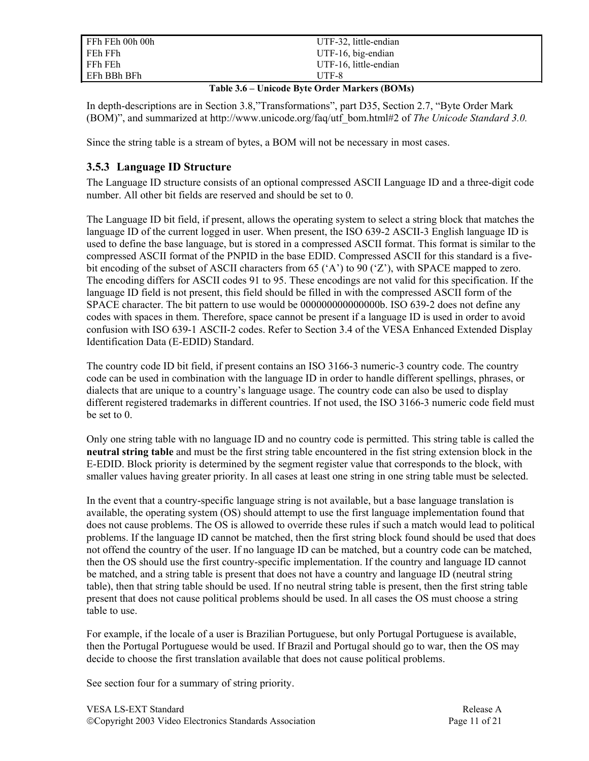| FFh FEh 00h 00h | UTF-32, little-endian |
|-----------------|-----------------------|
| FEh FFh         | UTF-16, big-endian    |
| FFh FEh         | UTF-16, little-endian |
| EFh BBh BFh     | UTF-8                 |

#### **Table 3.6 – Unicode Byte Order Markers (BOMs)**

In depth-descriptions are in Section 3.8,"Transformations", part D35, Section 2.7, "Byte Order Mark (BOM)", and summarized at http://www.unicode.org/faq/utf\_bom.html#2 of *The Unicode Standard 3.0.*

Since the string table is a stream of bytes, a BOM will not be necessary in most cases.

#### **3.5.3 Language ID Structure**

The Language ID structure consists of an optional compressed ASCII Language ID and a three-digit code number. All other bit fields are reserved and should be set to 0.

The Language ID bit field, if present, allows the operating system to select a string block that matches the language ID of the current logged in user. When present, the ISO 639-2 ASCII-3 English language ID is used to define the base language, but is stored in a compressed ASCII format. This format is similar to the compressed ASCII format of the PNPID in the base EDID. Compressed ASCII for this standard is a fivebit encoding of the subset of ASCII characters from 65 ('A') to 90 ('Z'), with SPACE mapped to zero. The encoding differs for ASCII codes 91 to 95. These encodings are not valid for this specification. If the language ID field is not present, this field should be filled in with the compressed ASCII form of the SPACE character. The bit pattern to use would be 000000000000000b. ISO 639-2 does not define any codes with spaces in them. Therefore, space cannot be present if a language ID is used in order to avoid confusion with ISO 639-1 ASCII-2 codes. Refer to Section 3.4 of the VESA Enhanced Extended Display Identification Data (E-EDID) Standard.

The country code ID bit field, if present contains an ISO 3166-3 numeric-3 country code. The country code can be used in combination with the language ID in order to handle different spellings, phrases, or dialects that are unique to a country's language usage. The country code can also be used to display different registered trademarks in different countries. If not used, the ISO 3166-3 numeric code field must be set to 0.

Only one string table with no language ID and no country code is permitted. This string table is called the **neutral string table** and must be the first string table encountered in the fist string extension block in the E-EDID. Block priority is determined by the segment register value that corresponds to the block, with smaller values having greater priority. In all cases at least one string in one string table must be selected.

In the event that a country-specific language string is not available, but a base language translation is available, the operating system (OS) should attempt to use the first language implementation found that does not cause problems. The OS is allowed to override these rules if such a match would lead to political problems. If the language ID cannot be matched, then the first string block found should be used that does not offend the country of the user. If no language ID can be matched, but a country code can be matched, then the OS should use the first country-specific implementation. If the country and language ID cannot be matched, and a string table is present that does not have a country and language ID (neutral string table), then that string table should be used. If no neutral string table is present, then the first string table present that does not cause political problems should be used. In all cases the OS must choose a string table to use.

For example, if the locale of a user is Brazilian Portuguese, but only Portugal Portuguese is available, then the Portugal Portuguese would be used. If Brazil and Portugal should go to war, then the OS may decide to choose the first translation available that does not cause political problems.

See section four for a summary of string priority.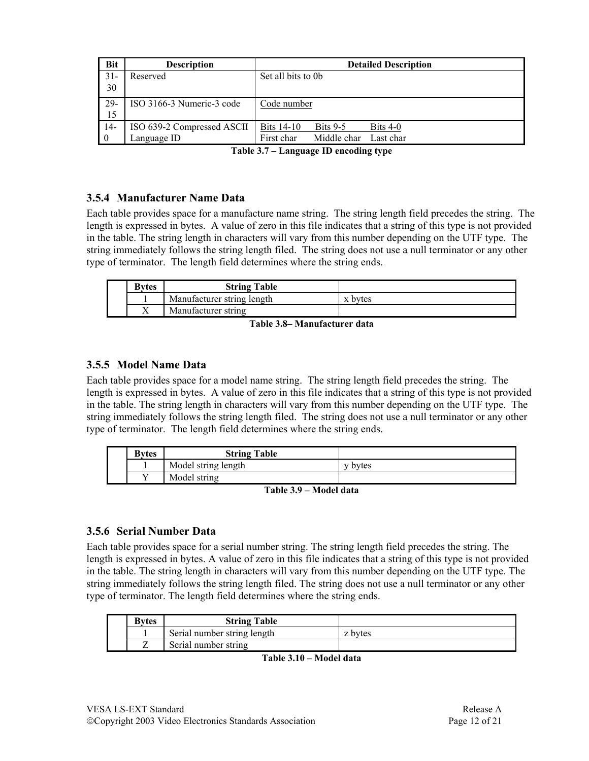| <b>Bit</b> | <b>Description</b>         | <b>Detailed Description</b>                        |
|------------|----------------------------|----------------------------------------------------|
| $31 -$     | Reserved                   | Set all bits to 0b                                 |
| 30         |                            |                                                    |
| $29-$      | ISO 3166-3 Numeric-3 code  | Code number                                        |
| 15         |                            |                                                    |
| $14-$      | ISO 639-2 Compressed ASCII | <b>Bits 14-10</b><br><b>Bits 9-5</b><br>Bits $4-0$ |
| $\Omega$   | Language ID                | First char<br>Middle char<br>Last char             |

**Table 3.7 – Language ID encoding type** 

#### **3.5.4 Manufacturer Name Data**

Each table provides space for a manufacture name string. The string length field precedes the string. The length is expressed in bytes. A value of zero in this file indicates that a string of this type is not provided in the table. The string length in characters will vary from this number depending on the UTF type. The string immediately follows the string length filed. The string does not use a null terminator or any other type of terminator. The length field determines where the string ends.

| <b>Bytes</b> | <b>String Table</b>        |       |
|--------------|----------------------------|-------|
|              | Manufacturer string length | bytes |
|              | Manufacturer string        |       |

**Table 3.8– Manufacturer data** 

#### **3.5.5 Model Name Data**

Each table provides space for a model name string. The string length field precedes the string. The length is expressed in bytes. A value of zero in this file indicates that a string of this type is not provided in the table. The string length in characters will vary from this number depending on the UTF type. The string immediately follows the string length filed. The string does not use a null terminator or any other type of terminator. The length field determines where the string ends.

| <b>Bytes</b> | <b>String Table</b> |       |
|--------------|---------------------|-------|
|              | Model string length | bytes |
|              | Model string        |       |

**Table 3.9 – Model data** 

#### **3.5.6 Serial Number Data**

Each table provides space for a serial number string. The string length field precedes the string. The length is expressed in bytes. A value of zero in this file indicates that a string of this type is not provided in the table. The string length in characters will vary from this number depending on the UTF type. The string immediately follows the string length filed. The string does not use a null terminator or any other type of terminator. The length field determines where the string ends.

| <b>Bytes</b> | <b>String Table</b>         |         |
|--------------|-----------------------------|---------|
|              | Serial number string length | z bytes |
|              | Serial number string        |         |

**Table 3.10 – Model data**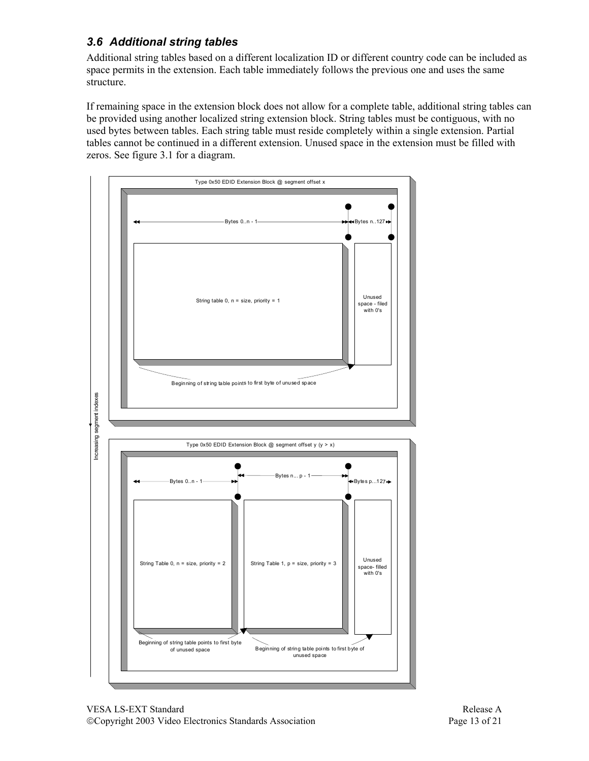## *3.6 Additional string tables*

Additional string tables based on a different localization ID or different country code can be included as space permits in the extension. Each table immediately follows the previous one and uses the same structure.

If remaining space in the extension block does not allow for a complete table, additional string tables can be provided using another localized string extension block. String tables must be contiguous, with no used bytes between tables. Each string table must reside completely within a single extension. Partial tables cannot be continued in a different extension. Unused space in the extension must be filled with zeros. See figure 3.1 for a diagram.

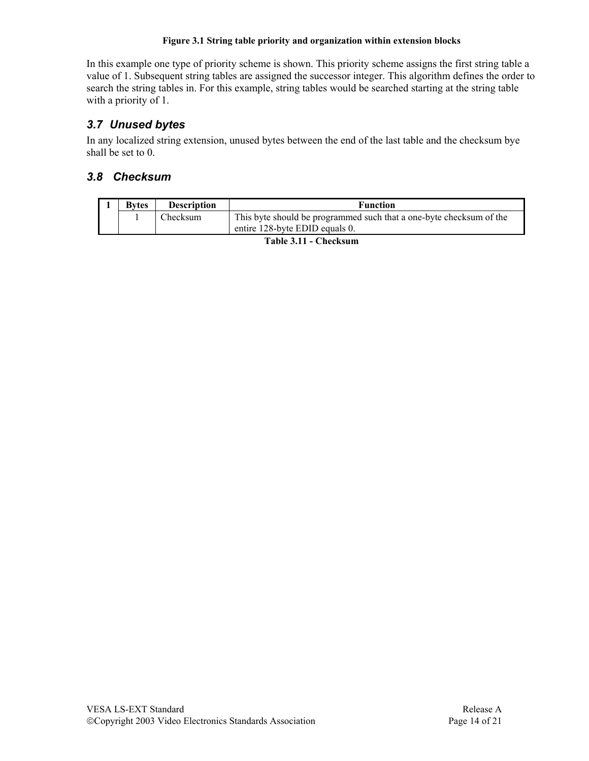#### **Figure 3.1 String table priority and organization within extension blocks**

In this example one type of priority scheme is shown. This priority scheme assigns the first string table a value of 1. Subsequent string tables are assigned the successor integer. This algorithm defines the order to search the string tables in. For this example, string tables would be searched starting at the string table with a priority of 1.

### *3.7 Unused bytes*

In any localized string extension, unused bytes between the end of the last table and the checksum bye shall be set to 0.

### *3.8 Checksum*

| <b>Bytes</b> | <b>Description</b> | <b>Function</b>                                                                                       |
|--------------|--------------------|-------------------------------------------------------------------------------------------------------|
|              | Checksum           | This byte should be programmed such that a one-byte checksum of the<br>entire 128-byte EDID equals 0. |

**Table 3.11 - Checksum**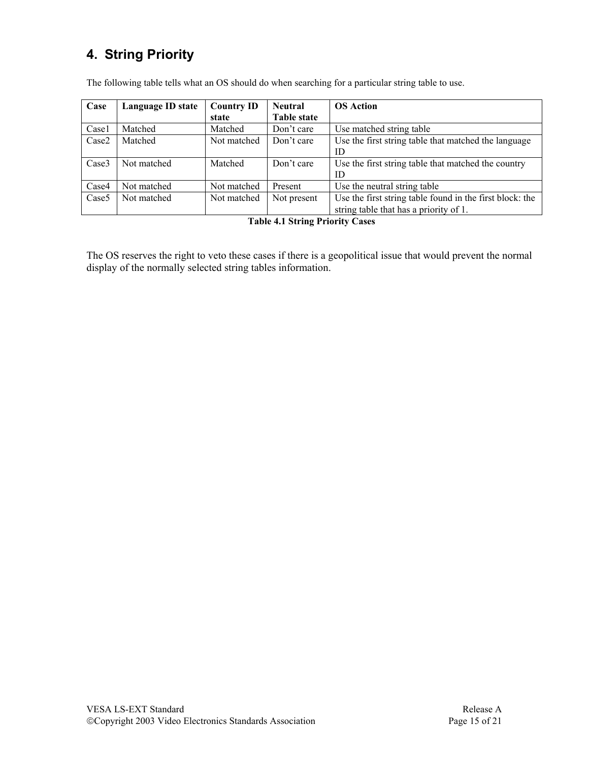# **4. String Priority**

| Case              | Language ID state | <b>Country ID</b> | <b>Neutral</b>     | <b>OS Action</b>                                         |
|-------------------|-------------------|-------------------|--------------------|----------------------------------------------------------|
|                   |                   | state             | <b>Table state</b> |                                                          |
| Casel             | Matched           | Matched           | Don't care         | Use matched string table                                 |
| Case2             | Matched           | Not matched       | Don't care         | Use the first string table that matched the language     |
|                   |                   |                   |                    | ID                                                       |
| Case3             | Not matched       | Matched           | Don't care         | Use the first string table that matched the country      |
|                   |                   |                   |                    | ID                                                       |
| Case4             | Not matched       | Not matched       | Present            | Use the neutral string table                             |
| Case <sub>5</sub> | Not matched       | Not matched       | Not present        | Use the first string table found in the first block: the |
|                   |                   |                   |                    | string table that has a priority of 1.                   |

The following table tells what an OS should do when searching for a particular string table to use.

**Table 4.1 String Priority Cases** 

The OS reserves the right to veto these cases if there is a geopolitical issue that would prevent the normal display of the normally selected string tables information.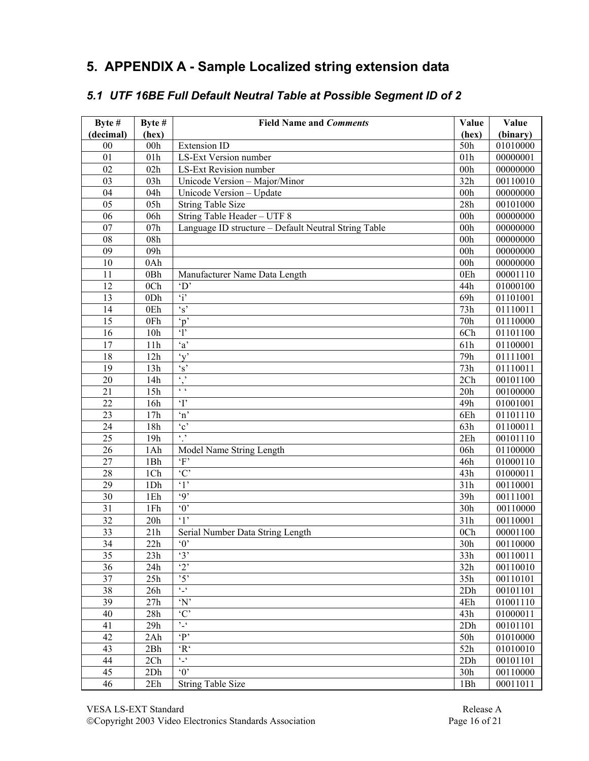## **5. APPENDIX A - Sample Localized string extension data**

## *5.1 UTF 16BE Full Default Neutral Table at Possible Segment ID of 2*

| Byte #          | Byte #          | <b>Field Name and Comments</b>                       | Value           | Value    |
|-----------------|-----------------|------------------------------------------------------|-----------------|----------|
| (decimal)       | (hex)           |                                                      | (hex)           | (binary) |
| 00              | 00h             | <b>Extension ID</b>                                  | 50h             | 01010000 |
| 01              | 01h             | <b>LS-Ext Version number</b>                         | 01h             | 00000001 |
| 02              | 02h             | LS-Ext Revision number                               | 00h             | 00000000 |
| 03              | 03h             | Unicode Version - Major/Minor                        | 32h             | 00110010 |
| 04              | 04h             | Unicode Version - Update                             | 00h             | 00000000 |
| 05              | 05h             | <b>String Table Size</b>                             | 28h             | 00101000 |
| 06              | 06h             | String Table Header - UTF 8                          | 00h             | 00000000 |
| 07              | 07h             | Language ID structure - Default Neutral String Table | 00h             | 00000000 |
| 08              | 08h             |                                                      | 00 <sub>h</sub> | 00000000 |
| 09              | 09h             |                                                      | 00h             | 00000000 |
| 10              | 0Ah             |                                                      | 00 <sub>h</sub> | 00000000 |
| 11              | 0Bh             | Manufacturer Name Data Length                        | 0Eh             | 00001110 |
| 12              | 0 <sub>Ch</sub> | $\Delta$                                             | 44h             | 01000100 |
| 13              | 0 <sub>Dh</sub> | $\ddot{i}$                                           | 69h             | 01101001 |
| 14              | 0Eh             | $\mathbf{s}'$                                        | 73h             | 01110011 |
| 15              | 0Fh             | $\overline{p}$                                       | 70h             | 01110000 |
| 16              | 10h             | $\mathbf{P}$                                         | 6Ch             | 01101100 |
| 17              | 11h             | $\overline{a}$                                       | 61h             | 01100001 |
| 18              | 12h             | $\alpha$                                             | 79h             | 01111001 |
| 19              | 13h             | $\mathbf{s}$                                         | 73h             | 01110011 |
| $\overline{20}$ | 14h             | $\epsilon$ ,                                         | 2Ch             | 00101100 |
| 21              | 15h             | $\epsilon$ $\epsilon$                                | 20h             | 00100000 |
| $\overline{22}$ | 16h             | $\overline{\mathbf{T}}$                              | 49h             | 01001001 |
| 23              | 17h             | $\mathbf{m}$                                         | 6Eh             | 01101110 |
| 24              | 18h             | $\overline{c}$                                       | 63h             | 01100011 |
| 25              | 19h             | $\epsilon$ ,                                         | 2Eh             | 00101110 |
| 26              | 1Ah             | Model Name String Length                             | 06h             | 01100000 |
| 27              | 1Bh             | $\lq F$                                              | 46h             | 01000110 |
| 28              | 1Ch             | $\overline{C}$                                       | 43h             | 01000011 |
| 29              | 1Dh             | $\overline{\cdot \cdot}$                             | 31h             | 00110001 |
| 30              | 1Eh             | $\overline{q}$                                       | 39h             | 00111001 |
| 31              | 1Fh             | $\overline{0}$                                       | 30h             | 00110000 |
| 32              | 20h             | $\cdot$ 1'                                           | 31h             | 00110001 |
| 33              | 21h             | Serial Number Data String Length                     | 0Ch             | 00001100 |
| 34              | 22h             | $\lq 0$                                              | 30h             | 00110000 |
| 35              | 23h             | $\cdot$ 3'                                           | 33h             | 00110011 |
| 36              | 24h             | $\cdot_2$                                            | 32h             | 00110010 |
| 37              | 25h             | $\cdot$ 5'                                           | 35h             | 00110101 |
| 38              | 26h             | $\epsilon$ $\_$ $\epsilon$                           | 2Dh             | 00101101 |
| 39              | 27h             | $\mathbf{N}'$                                        | 4Eh             | 01001110 |
| 40              | 28h             | $\cdot$ C'                                           | 43h             | 01000011 |
| 41              | 29h             | $\sum_{i=1}^{n}$                                     | 2Dh             | 00101101 |
| 42              | 2Ah             | $\cdot$ P                                            | 50h             | 01010000 |
| 43              | 2Bh             | $\lq \mathbf{R}^{\mathfrak{c}}$                      | 52h             | 01010010 |
| 44              | 2Ch             | $\epsilon-\epsilon$                                  | 2Dh             | 00101101 |
| 45              | 2Dh             | $\overline{0}$                                       | 30h             | 00110000 |
| 46              | 2Eh             | <b>String Table Size</b>                             | 1Bh             | 00011011 |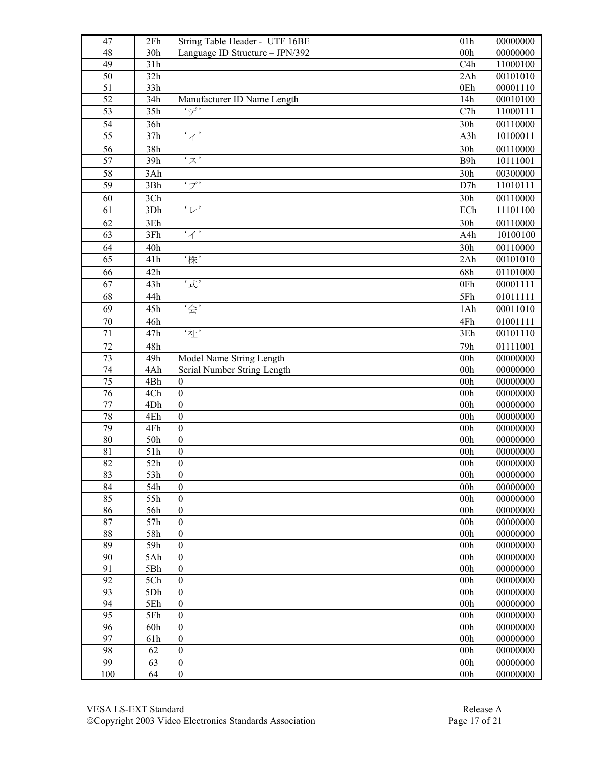| 47              | 2Fh        | String Table Header - UTF 16BE       | 01h                                | 00000000             |
|-----------------|------------|--------------------------------------|------------------------------------|----------------------|
| 48              | 30h        | Language ID Structure - JPN/392      | 00h                                | 00000000             |
| 49              | 31h        |                                      | C4h                                | 11000100             |
| 50              | 32h        |                                      | 2Ah                                | 00101010             |
| 51              | 33h        |                                      | 0Eh                                | 00001110             |
| 52              | 34h        | Manufacturer ID Name Length          | 14h                                | 00010100             |
| $\overline{53}$ | 35h        | 'デ'                                  | C7h                                | 11000111             |
| 54              | 36h        |                                      | 30h                                | 00110000             |
| 55              | 37h        | $\overline{\overline{A}}$            | A3h                                | 10100011             |
| 56              | 38h        |                                      | 30h                                | 00110000             |
| 57              | 39h        | $\overline{\cdot z}$                 | B9h                                | 10111001             |
| 58              | 3Ah        |                                      | 30h                                | 00300000             |
| 59              | 3Bh        | $\cdot$ $\rightarrow$                | D7h                                | 11010111             |
| 60              | 3Ch        |                                      | 30h                                | 00110000             |
| 61              | 3Dh        | $\overline{\cdot_L}$                 | ECh                                | 11101100             |
| 62              | 3Eh        |                                      | 30h                                | 00110000             |
| 63              | 3Fh        | $\cdot$ $\cdot$                      | A <sub>4</sub> h                   | 10100100             |
| 64              | 40h        |                                      | 30h                                | 00110000             |
| 65              | 41h        | '株'                                  | 2Ah                                | 00101010             |
| 66              | 42h        |                                      | 68h                                | 01101000             |
| $\overline{67}$ | 43h        | '式'                                  | 0Fh                                | 00001111             |
| 68              | 44h        |                                      | 5Fh                                | 01011111             |
| 69              | 45h        | '会'                                  | 1Ah                                | 00011010             |
| 70              | 46h        |                                      | 4Fh                                | 01001111             |
| 71              | 47h        | '社'                                  | 3Eh                                | 00101110             |
| 72              | 48h        |                                      | 79h                                | 01111001             |
| 73              | 49h        | Model Name String Length             | 00h                                | 00000000             |
| 74              | 4Ah        | Serial Number String Length          | 00h                                | 00000000             |
| $\overline{75}$ | 4Bh        | $\boldsymbol{0}$                     | 00h                                | 00000000             |
| 76              | 4Ch        | $\boldsymbol{0}$                     | 00h                                | 00000000             |
| 77              | 4Dh        | $\boldsymbol{0}$                     | 00h                                | 00000000             |
| 78              | 4Eh        | $\boldsymbol{0}$                     | 00h                                | 00000000             |
| 79              | 4Fh        | $\boldsymbol{0}$                     | 00h                                | 00000000             |
| 80              | 50h        | $\boldsymbol{0}$                     | 00h                                | 00000000             |
| 81              | 51h        | $\boldsymbol{0}$                     | 00h                                | 00000000             |
| 82              | 52h        | $\boldsymbol{0}$                     | 00 <sub>h</sub>                    | 00000000             |
| 83              | 53h        | $\boldsymbol{0}$                     | 00 <sub>h</sub>                    | 00000000             |
| 84              | 54h        | $\boldsymbol{0}$                     | 00 <sub>h</sub>                    | 00000000             |
| 85              | 55h        | $\boldsymbol{0}$                     | 00 <sub>h</sub>                    | 00000000             |
| 86              | 56h        | $\boldsymbol{0}$                     | 00h                                | 00000000             |
| 87              | 57h        | $\boldsymbol{0}$                     | 00 <sub>h</sub>                    | 00000000             |
| 88              | 58h        | $\boldsymbol{0}$                     | 00 <sub>h</sub>                    | 00000000             |
| 89<br>90        | 59h        | $\boldsymbol{0}$                     | 00h                                | 00000000             |
| 91              | 5Ah        | $\boldsymbol{0}$                     | 00h                                | 00000000             |
| 92              | 5Bh<br>5Ch | $\boldsymbol{0}$<br>$\boldsymbol{0}$ | 00 <sub>h</sub><br>00 <sub>h</sub> | 00000000<br>00000000 |
| 93              | 5Dh        | $\boldsymbol{0}$                     | 00 <sub>h</sub>                    | 00000000             |
| 94              | 5Eh        | $\boldsymbol{0}$                     | 00 <sub>h</sub>                    | 00000000             |
| 95              | 5Fh        | $\boldsymbol{0}$                     | 00 <sub>h</sub>                    | 00000000             |
| 96              | 60h        | $\boldsymbol{0}$                     | 00 <sub>h</sub>                    | 00000000             |
| 97              | 61h        | $\boldsymbol{0}$                     | 00 <sub>h</sub>                    | 00000000             |
| 98              | 62         | $\boldsymbol{0}$                     | 00h                                | 00000000             |
| 99              | 63         | $\boldsymbol{0}$                     | 00h                                | 00000000             |
| 100             | 64         | $\boldsymbol{0}$                     | 00h                                | 00000000             |
|                 |            |                                      |                                    |                      |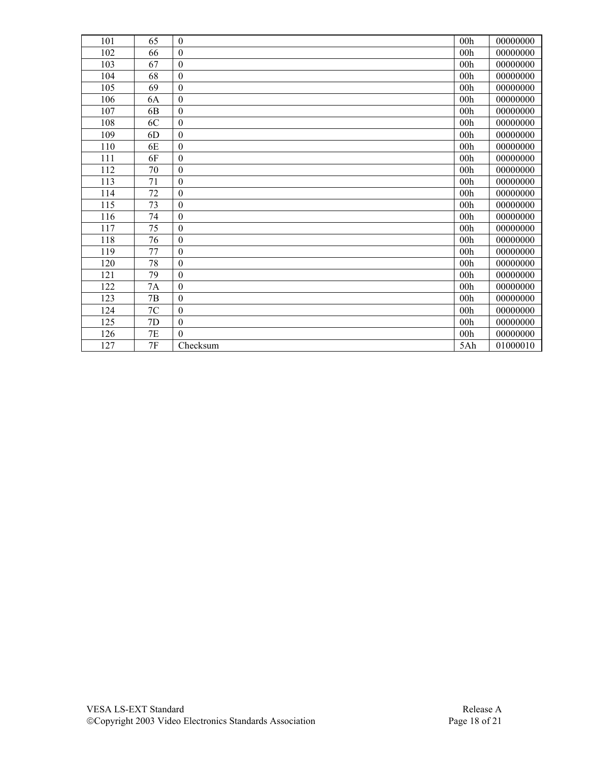| 101 | 65             | $\boldsymbol{0}$ | 00h             | 00000000 |
|-----|----------------|------------------|-----------------|----------|
| 102 | 66             | $\boldsymbol{0}$ | 00 <sub>h</sub> | 00000000 |
| 103 | 67             | $\boldsymbol{0}$ | 00h             | 00000000 |
| 104 | 68             | $\boldsymbol{0}$ | 00h             | 00000000 |
| 105 | 69             | $\boldsymbol{0}$ | 00h             | 00000000 |
| 106 | 6A             | $\boldsymbol{0}$ | 00h             | 00000000 |
| 107 | 6 <sub>B</sub> | $\boldsymbol{0}$ | 00h             | 00000000 |
| 108 | 6C             | $\boldsymbol{0}$ | 00h             | 00000000 |
| 109 | 6D             | $\boldsymbol{0}$ | 00h             | 00000000 |
| 110 | 6E             | $\boldsymbol{0}$ | 00 <sub>h</sub> | 00000000 |
| 111 | 6F             | $\boldsymbol{0}$ | 00h             | 00000000 |
| 112 | $70\,$         | $\boldsymbol{0}$ | 00h             | 00000000 |
| 113 | 71             | $\boldsymbol{0}$ | 00h             | 00000000 |
| 114 | 72             | $\boldsymbol{0}$ | 00 <sub>h</sub> | 00000000 |
| 115 | 73             | $\boldsymbol{0}$ | 00h             | 00000000 |
| 116 | 74             | $\boldsymbol{0}$ | 00h             | 00000000 |
| 117 | 75             | $\boldsymbol{0}$ | 00h             | 00000000 |
| 118 | 76             | $\boldsymbol{0}$ | 00 <sub>h</sub> | 00000000 |
| 119 | 77             | $\boldsymbol{0}$ | 00h             | 00000000 |
| 120 | 78             | $\boldsymbol{0}$ | 00h             | 00000000 |
| 121 | 79             | $\boldsymbol{0}$ | 00h             | 00000000 |
| 122 | 7A             | $\boldsymbol{0}$ | 00h             | 00000000 |
| 123 | 7B             | $\boldsymbol{0}$ | 00h             | 00000000 |
| 124 | 7C             | $\boldsymbol{0}$ | 00h             | 00000000 |
| 125 | 7D             | $\boldsymbol{0}$ | 00h             | 00000000 |
| 126 | $7\mathrm{E}$  | $\theta$         | 00h             | 00000000 |
| 127 | 7F             | Checksum         | 5Ah             | 01000010 |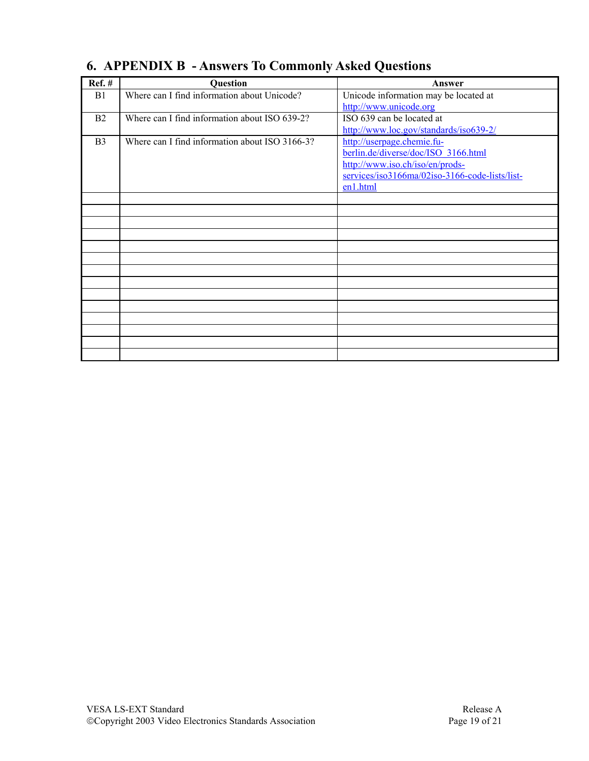| <b>Ref.</b> #  | Question                                       | Answer                                         |
|----------------|------------------------------------------------|------------------------------------------------|
| B1             | Where can I find information about Unicode?    | Unicode information may be located at          |
|                |                                                | http://www.unicode.org                         |
| B <sub>2</sub> | Where can I find information about ISO 639-2?  | ISO 639 can be located at                      |
|                |                                                | http://www.loc.gov/standards/iso639-2/         |
| B <sub>3</sub> | Where can I find information about ISO 3166-3? | http://userpage.chemie.fu-                     |
|                |                                                | berlin.de/diverse/doc/ISO 3166.html            |
|                |                                                | http://www.iso.ch/iso/en/prods-                |
|                |                                                | services/iso3166ma/02iso-3166-code-lists/list- |
|                |                                                | en1.html                                       |
|                |                                                |                                                |
|                |                                                |                                                |
|                |                                                |                                                |
|                |                                                |                                                |
|                |                                                |                                                |
|                |                                                |                                                |
|                |                                                |                                                |
|                |                                                |                                                |
|                |                                                |                                                |
|                |                                                |                                                |
|                |                                                |                                                |
|                |                                                |                                                |
|                |                                                |                                                |
|                |                                                |                                                |

# **6. APPENDIX B - Answers To Commonly Asked Questions**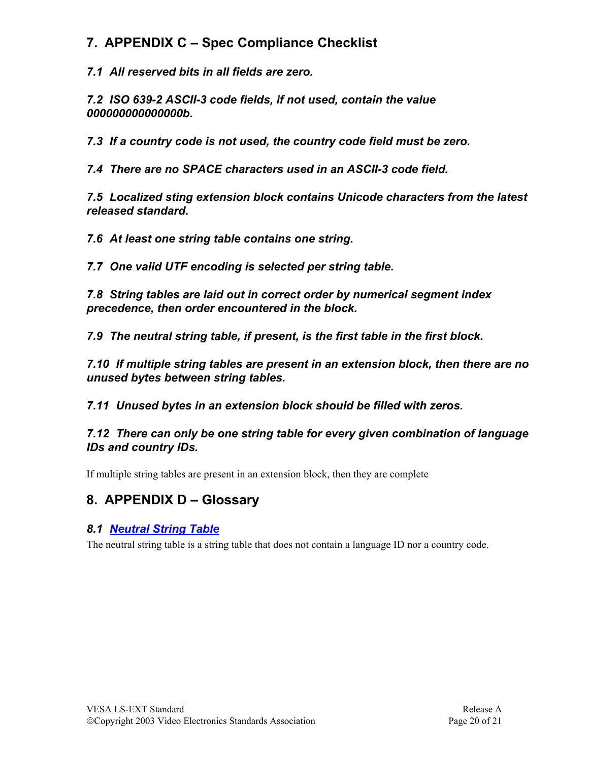## **7. APPENDIX C – Spec Compliance Checklist**

*7.1 All reserved bits in all fields are zero.* 

*7.2 ISO 639-2 ASCII-3 code fields, if not used, contain the value 000000000000000b.* 

*7.3 If a country code is not used, the country code field must be zero.* 

*7.4 There are no SPACE characters used in an ASCII-3 code field.* 

*7.5 Localized sting extension block contains Unicode characters from the latest released standard.* 

*7.6 At least one string table contains one string.* 

*7.7 One valid UTF encoding is selected per string table.* 

*7.8 String tables are laid out in correct order by numerical segment index precedence, then order encountered in the block.* 

*7.9 The neutral string table, if present, is the first table in the first block.* 

*7.10 If multiple string tables are present in an extension block, then there are no unused bytes between string tables.* 

*7.11 Unused bytes in an extension block should be filled with zeros.* 

*7.12 There can only be one string table for every given combination of language IDs and country IDs.* 

If multiple string tables are present in an extension block, then they are complete

## **8. APPENDIX D – Glossary**

### *8.1 Neutral String Table*

The neutral string table is a string table that does not contain a language ID nor a country code.